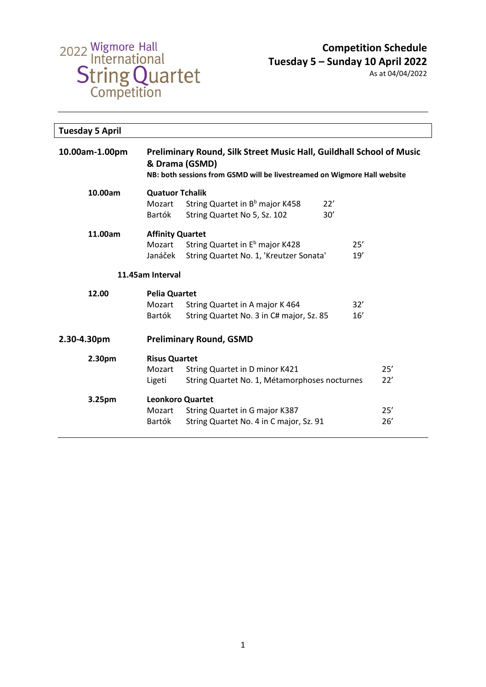

| <b>Tuesday 5 April</b> |                                                                                                                                                                           |                                                                                           |            |  |
|------------------------|---------------------------------------------------------------------------------------------------------------------------------------------------------------------------|-------------------------------------------------------------------------------------------|------------|--|
| 10.00am-1.00pm         | <b>Preliminary Round, Silk Street Music Hall, Guildhall School of Music</b><br>& Drama (GSMD)<br>NB: both sessions from GSMD will be livestreamed on Wigmore Hall website |                                                                                           |            |  |
| 10.00am                | <b>Quatuor Tchalik</b><br>Mozart<br>Bartók                                                                                                                                | String Quartet in B <sup>b</sup> major K458<br>22'<br>30'<br>String Quartet No 5, Sz. 102 |            |  |
| 11.00am                | <b>Affinity Quartet</b><br>Mozart<br>Janáček                                                                                                                              | String Quartet in E <sup>b</sup> major K428<br>String Quartet No. 1, 'Kreutzer Sonata'    | 25'<br>19' |  |
| 11.45am Interval       |                                                                                                                                                                           |                                                                                           |            |  |
| 12.00                  | <b>Pelia Quartet</b><br>Mozart<br>Bartók                                                                                                                                  | String Quartet in A major K 464<br>String Quartet No. 3 in C# major, Sz. 85               | 32'<br>16' |  |
| 2.30-4.30pm            |                                                                                                                                                                           | <b>Preliminary Round, GSMD</b>                                                            |            |  |
| 2.30pm                 | <b>Risus Quartet</b><br>Mozart<br>Ligeti                                                                                                                                  | String Quartet in D minor K421<br>String Quartet No. 1, Métamorphoses nocturnes           | 25'<br>22' |  |
| 3.25pm                 | <b>Leonkoro Quartet</b><br>Mozart<br>Bartók                                                                                                                               | String Quartet in G major K387<br>String Quartet No. 4 in C major, Sz. 91                 | 25'<br>26' |  |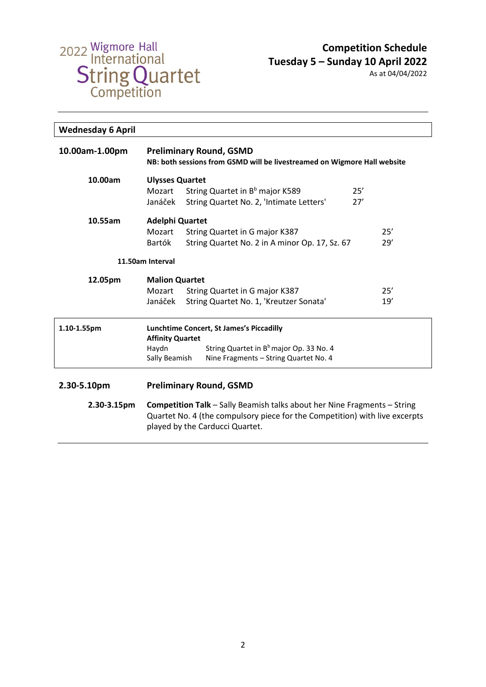

As at 04/04/2022

| <b>Wednesday 6 April</b>                                                           |                                                                                                                                                         |                                                     |     |
|------------------------------------------------------------------------------------|---------------------------------------------------------------------------------------------------------------------------------------------------------|-----------------------------------------------------|-----|
| 10.00am-1.00pm                                                                     | <b>Preliminary Round, GSMD</b><br>NB: both sessions from GSMD will be livestreamed on Wigmore Hall website                                              |                                                     |     |
| 10.00am                                                                            | <b>Ulysses Quartet</b>                                                                                                                                  |                                                     |     |
|                                                                                    | Mozart                                                                                                                                                  | String Quartet in B <sup>b</sup> major K589         | 25' |
|                                                                                    | Janáček                                                                                                                                                 | String Quartet No. 2, 'Intimate Letters'            | 27' |
| 10.55am                                                                            | <b>Adelphi Quartet</b>                                                                                                                                  |                                                     |     |
|                                                                                    | Mozart                                                                                                                                                  | String Quartet in G major K387                      | 25' |
|                                                                                    | Bartók                                                                                                                                                  | String Quartet No. 2 in A minor Op. 17, Sz. 67      | 29' |
|                                                                                    | 11.50am Interval                                                                                                                                        |                                                     |     |
| 12.05pm                                                                            | <b>Malion Quartet</b>                                                                                                                                   |                                                     |     |
|                                                                                    | Mozart                                                                                                                                                  | String Quartet in G major K387                      | 25' |
|                                                                                    | Janáček                                                                                                                                                 | String Quartet No. 1, 'Kreutzer Sonata'             | 19' |
| 1.10-1.55pm<br>Lunchtime Concert, St James's Piccadilly<br><b>Affinity Quartet</b> |                                                                                                                                                         |                                                     |     |
|                                                                                    | Haydn                                                                                                                                                   | String Quartet in B <sup>b</sup> major Op. 33 No. 4 |     |
|                                                                                    | Sally Beamish                                                                                                                                           | Nine Fragments - String Quartet No. 4               |     |
| 2.30-5.10pm                                                                        |                                                                                                                                                         | <b>Preliminary Round, GSMD</b>                      |     |
| 2.30-3.15pm                                                                        | Competition Talk - Sally Beamish talks about her Nine Fragments - String<br>Quartet No. 4 (the compulsory piece for the Competition) with live excerpts |                                                     |     |

played by the Carducci Quartet.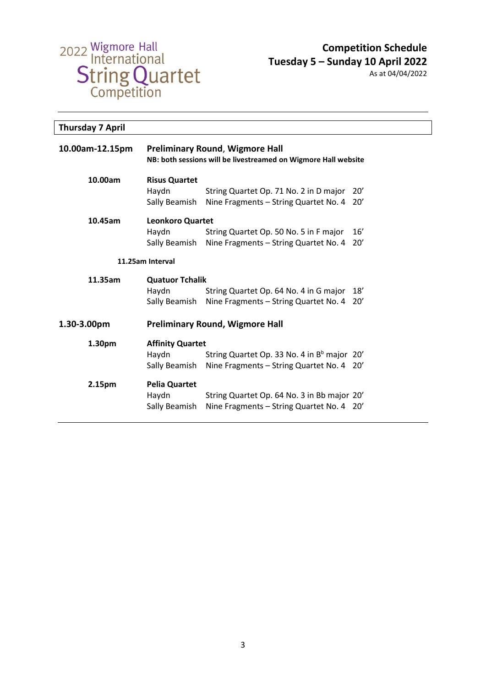

| <b>Thursday 7 April</b> |                                                   |                                                                                                          |             |
|-------------------------|---------------------------------------------------|----------------------------------------------------------------------------------------------------------|-------------|
| 10.00am-12.15pm         |                                                   | <b>Preliminary Round, Wigmore Hall</b><br>NB: both sessions will be livestreamed on Wigmore Hall website |             |
| 10.00am                 | <b>Risus Quartet</b><br>Haydn<br>Sally Beamish    | String Quartet Op. 71 No. 2 in D major<br>Nine Fragments - String Quartet No. 4                          | 20'<br>-20′ |
| 10.45am                 | Leonkoro Quartet<br>Haydn<br>Sally Beamish        | String Quartet Op. 50 No. 5 in F major<br>Nine Fragments - String Quartet No. 4                          | 16'<br>20'  |
| 11.25am Interval        |                                                   |                                                                                                          |             |
| 11.35am                 | <b>Quatuor Tchalik</b><br>Haydn<br>Sally Beamish  | String Quartet Op. 64 No. 4 in G major<br>Nine Fragments - String Quartet No. 4 20'                      | 18'         |
| 1.30-3.00pm             |                                                   | <b>Preliminary Round, Wigmore Hall</b>                                                                   |             |
| 1.30pm                  | <b>Affinity Quartet</b><br>Haydn<br>Sally Beamish | String Quartet Op. 33 No. 4 in B <sup>b</sup> major 20'<br>Nine Fragments - String Quartet No. 4 20'     |             |
| 2.15pm                  | <b>Pelia Quartet</b><br>Haydn<br>Sally Beamish    | String Quartet Op. 64 No. 3 in Bb major 20'<br>Nine Fragments - String Quartet No. 4 20'                 |             |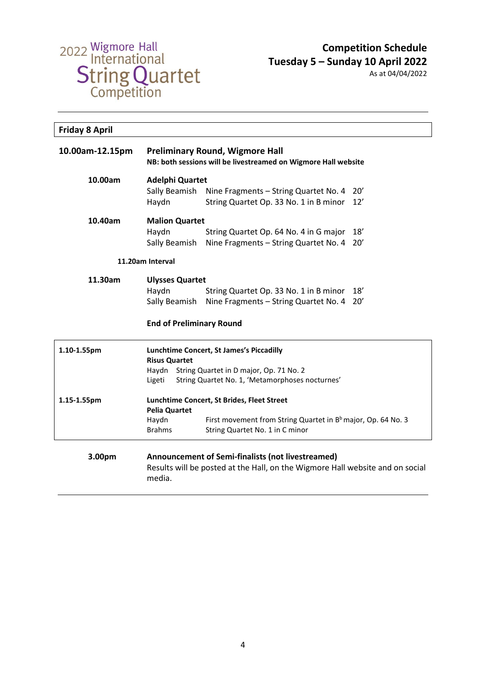

| <b>Friday 8 April</b> |                                                                                                                                              |                                                                                 |     |
|-----------------------|----------------------------------------------------------------------------------------------------------------------------------------------|---------------------------------------------------------------------------------|-----|
| 10.00am-12.15pm       | <b>Preliminary Round, Wigmore Hall</b><br>NB: both sessions will be livestreamed on Wigmore Hall website                                     |                                                                                 |     |
| 10.00am               | <b>Adelphi Quartet</b><br>Sally Beamish                                                                                                      |                                                                                 | 20' |
|                       | Haydn                                                                                                                                        | Nine Fragments - String Quartet No. 4<br>String Quartet Op. 33 No. 1 in B minor | 12' |
| 10.40am               | <b>Malion Quartet</b>                                                                                                                        |                                                                                 |     |
|                       | Haydn                                                                                                                                        | String Quartet Op. 64 No. 4 in G major                                          | 18' |
|                       | Sally Beamish                                                                                                                                | Nine Fragments - String Quartet No. 4                                           | 20' |
| 11.20am Interval      |                                                                                                                                              |                                                                                 |     |
| 11.30am               | <b>Ulysses Quartet</b>                                                                                                                       |                                                                                 |     |
|                       | Haydn                                                                                                                                        | String Quartet Op. 33 No. 1 in B minor                                          | 18' |
|                       | Sally Beamish                                                                                                                                | Nine Fragments - String Quartet No. 4                                           | 20' |
|                       | <b>End of Preliminary Round</b>                                                                                                              |                                                                                 |     |
| 1.10-1.55pm           | Lunchtime Concert, St James's Piccadilly                                                                                                     |                                                                                 |     |
|                       | <b>Risus Quartet</b><br>String Quartet in D major, Op. 71 No. 2<br>Haydn                                                                     |                                                                                 |     |
|                       | Ligeti                                                                                                                                       | String Quartet No. 1, 'Metamorphoses nocturnes'                                 |     |
| 1.15-1.55pm           | Lunchtime Concert, St Brides, Fleet Street<br><b>Pelia Quartet</b>                                                                           |                                                                                 |     |
|                       | Haydn                                                                                                                                        | First movement from String Quartet in B <sup>b</sup> major, Op. 64 No. 3        |     |
|                       | <b>Brahms</b>                                                                                                                                | String Quartet No. 1 in C minor                                                 |     |
| 3.00pm                | Announcement of Semi-finalists (not livestreamed)<br>Results will be posted at the Hall, on the Wigmore Hall website and on social<br>media. |                                                                                 |     |